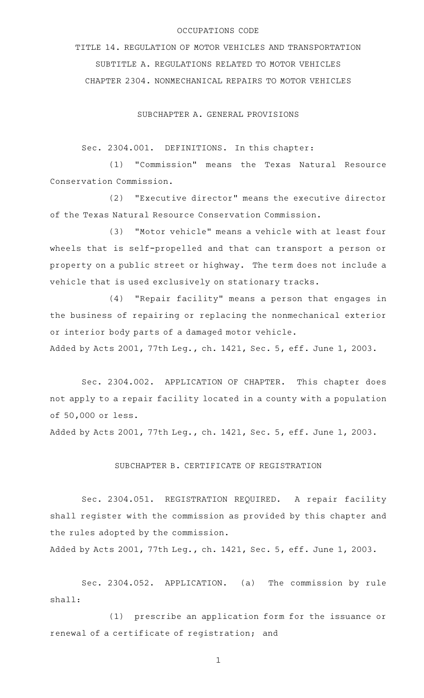## OCCUPATIONS CODE

TITLE 14. REGULATION OF MOTOR VEHICLES AND TRANSPORTATION SUBTITLE A. REGULATIONS RELATED TO MOTOR VEHICLES CHAPTER 2304. NONMECHANICAL REPAIRS TO MOTOR VEHICLES

SUBCHAPTER A. GENERAL PROVISIONS

Sec. 2304.001. DEFINITIONS. In this chapter:

(1) "Commission" means the Texas Natural Resource Conservation Commission.

(2) "Executive director" means the executive director of the Texas Natural Resource Conservation Commission.

(3) "Motor vehicle" means a vehicle with at least four wheels that is self-propelled and that can transport a person or property on a public street or highway. The term does not include a vehicle that is used exclusively on stationary tracks.

(4) "Repair facility" means a person that engages in the business of repairing or replacing the nonmechanical exterior or interior body parts of a damaged motor vehicle.

Added by Acts 2001, 77th Leg., ch. 1421, Sec. 5, eff. June 1, 2003.

Sec. 2304.002. APPLICATION OF CHAPTER. This chapter does not apply to a repair facility located in a county with a population of 50,000 or less.

Added by Acts 2001, 77th Leg., ch. 1421, Sec. 5, eff. June 1, 2003.

## SUBCHAPTER B. CERTIFICATE OF REGISTRATION

Sec. 2304.051. REGISTRATION REQUIRED. A repair facility shall register with the commission as provided by this chapter and the rules adopted by the commission.

Added by Acts 2001, 77th Leg., ch. 1421, Sec. 5, eff. June 1, 2003.

Sec. 2304.052. APPLICATION. (a) The commission by rule shall:

(1) prescribe an application form for the issuance or renewal of a certificate of registration; and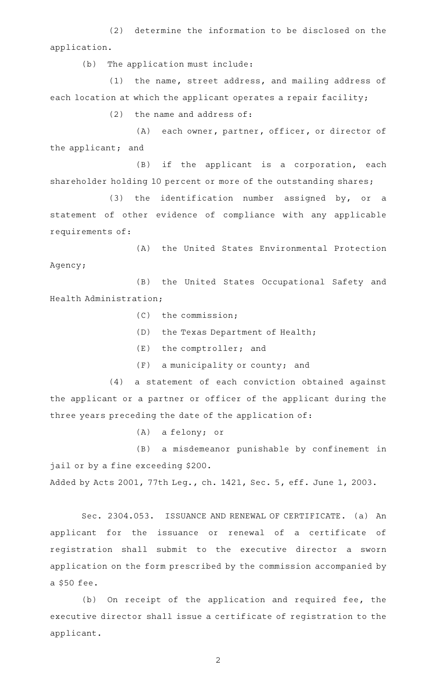(2) determine the information to be disclosed on the application.

(b) The application must include:

(1) the name, street address, and mailing address of each location at which the applicant operates a repair facility;

 $(2)$  the name and address of:

(A) each owner, partner, officer, or director of the applicant; and

 $(B)$  if the applicant is a corporation, each shareholder holding 10 percent or more of the outstanding shares;

(3) the identification number assigned by, or a statement of other evidence of compliance with any applicable requirements of:

(A) the United States Environmental Protection Agency;

(B) the United States Occupational Safety and Health Administration;

 $(C)$  the commission;

- (D) the Texas Department of Health;
- $(E)$  the comptroller; and
- $(F)$  a municipality or county; and

(4) a statement of each conviction obtained against the applicant or a partner or officer of the applicant during the three years preceding the date of the application of:

(A) a felony; or

(B) a misdemeanor punishable by confinement in jail or by a fine exceeding \$200.

Added by Acts 2001, 77th Leg., ch. 1421, Sec. 5, eff. June 1, 2003.

Sec. 2304.053. ISSUANCE AND RENEWAL OF CERTIFICATE. (a) An applicant for the issuance or renewal of a certificate of registration shall submit to the executive director a sworn application on the form prescribed by the commission accompanied by a \$50 fee.

(b) On receipt of the application and required fee, the executive director shall issue a certificate of registration to the applicant.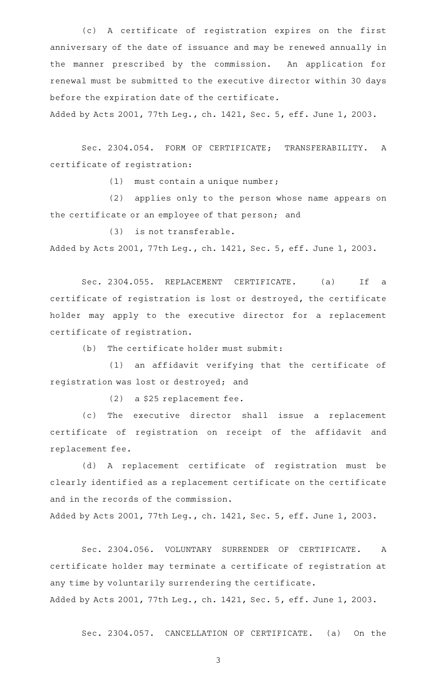(c)AAA certificate of registration expires on the first anniversary of the date of issuance and may be renewed annually in the manner prescribed by the commission. An application for renewal must be submitted to the executive director within 30 days before the expiration date of the certificate.

Added by Acts 2001, 77th Leg., ch. 1421, Sec. 5, eff. June 1, 2003.

Sec. 2304.054. FORM OF CERTIFICATE; TRANSFERABILITY. A certificate of registration:

(1) must contain a unique number;

(2) applies only to the person whose name appears on the certificate or an employee of that person; and

 $(3)$  is not transferable. Added by Acts 2001, 77th Leg., ch. 1421, Sec. 5, eff. June 1, 2003.

Sec. 2304.055. REPLACEMENT CERTIFICATE. (a) If a certificate of registration is lost or destroyed, the certificate holder may apply to the executive director for a replacement certificate of registration.

 $(b)$  The certificate holder must submit:

(1) an affidavit verifying that the certificate of registration was lost or destroyed; and

 $(2)$  a \$25 replacement fee.

(c) The executive director shall issue a replacement certificate of registration on receipt of the affidavit and replacement fee.

(d)AAA replacement certificate of registration must be clearly identified as a replacement certificate on the certificate and in the records of the commission.

Added by Acts 2001, 77th Leg., ch. 1421, Sec. 5, eff. June 1, 2003.

Sec. 2304.056. VOLUNTARY SURRENDER OF CERTIFICATE. A certificate holder may terminate a certificate of registration at any time by voluntarily surrendering the certificate. Added by Acts 2001, 77th Leg., ch. 1421, Sec. 5, eff. June 1, 2003.

Sec. 2304.057. CANCELLATION OF CERTIFICATE. (a) On the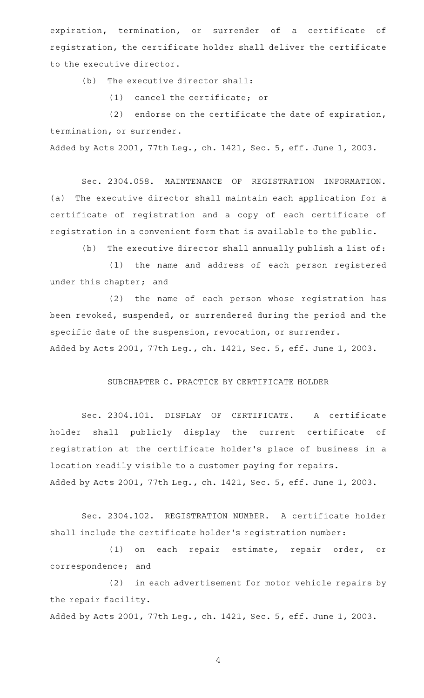expiration, termination, or surrender of a certificate of registration, the certificate holder shall deliver the certificate to the executive director.

 $(b)$  The executive director shall:

(1) cancel the certificate; or

(2) endorse on the certificate the date of expiration, termination, or surrender.

Added by Acts 2001, 77th Leg., ch. 1421, Sec. 5, eff. June 1, 2003.

Sec. 2304.058. MAINTENANCE OF REGISTRATION INFORMATION. (a) The executive director shall maintain each application for a certificate of registration and a copy of each certificate of registration in a convenient form that is available to the public.

(b) The executive director shall annually publish a list of:

(1) the name and address of each person registered under this chapter; and

(2) the name of each person whose registration has been revoked, suspended, or surrendered during the period and the specific date of the suspension, revocation, or surrender. Added by Acts 2001, 77th Leg., ch. 1421, Sec. 5, eff. June 1, 2003.

## SUBCHAPTER C. PRACTICE BY CERTIFICATE HOLDER

Sec. 2304.101. DISPLAY OF CERTIFICATE. A certificate holder shall publicly display the current certificate of registration at the certificate holder 's place of business in a location readily visible to a customer paying for repairs. Added by Acts 2001, 77th Leg., ch. 1421, Sec. 5, eff. June 1, 2003.

Sec. 2304.102. REGISTRATION NUMBER. A certificate holder shall include the certificate holder 's registration number:

(1) on each repair estimate, repair order, or correspondence; and

(2) in each advertisement for motor vehicle repairs by the repair facility.

Added by Acts 2001, 77th Leg., ch. 1421, Sec. 5, eff. June 1, 2003.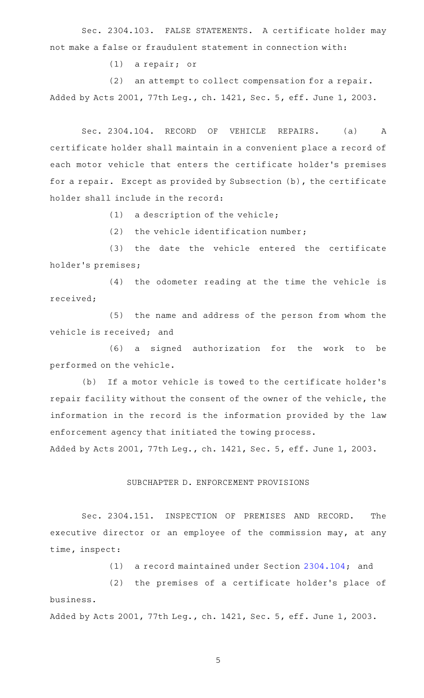Sec. 2304.103. FALSE STATEMENTS. A certificate holder may not make a false or fraudulent statement in connection with:

(1) a repair; or

 $(2)$  an attempt to collect compensation for a repair. Added by Acts 2001, 77th Leg., ch. 1421, Sec. 5, eff. June 1, 2003.

Sec. 2304.104. RECORD OF VEHICLE REPAIRS. (a) A certificate holder shall maintain in a convenient place a record of each motor vehicle that enters the certificate holder 's premises for a repair. Except as provided by Subsection (b), the certificate holder shall include in the record:

 $(1)$  a description of the vehicle;

(2) the vehicle identification number;

(3) the date the vehicle entered the certificate holder 's premises;

(4) the odometer reading at the time the vehicle is received;

(5) the name and address of the person from whom the vehicle is received; and

 $(6)$  a signed authorization for the work to be performed on the vehicle.

(b) If a motor vehicle is towed to the certificate holder's repair facility without the consent of the owner of the vehicle, the information in the record is the information provided by the law enforcement agency that initiated the towing process.

Added by Acts 2001, 77th Leg., ch. 1421, Sec. 5, eff. June 1, 2003.

## SUBCHAPTER D. ENFORCEMENT PROVISIONS

Sec. 2304.151. INSPECTION OF PREMISES AND RECORD. The executive director or an employee of the commission may, at any time, inspect:

(1) a record maintained under Section  $2304.104$ ; and

(2) the premises of a certificate holder's place of business.

Added by Acts 2001, 77th Leg., ch. 1421, Sec. 5, eff. June 1, 2003.